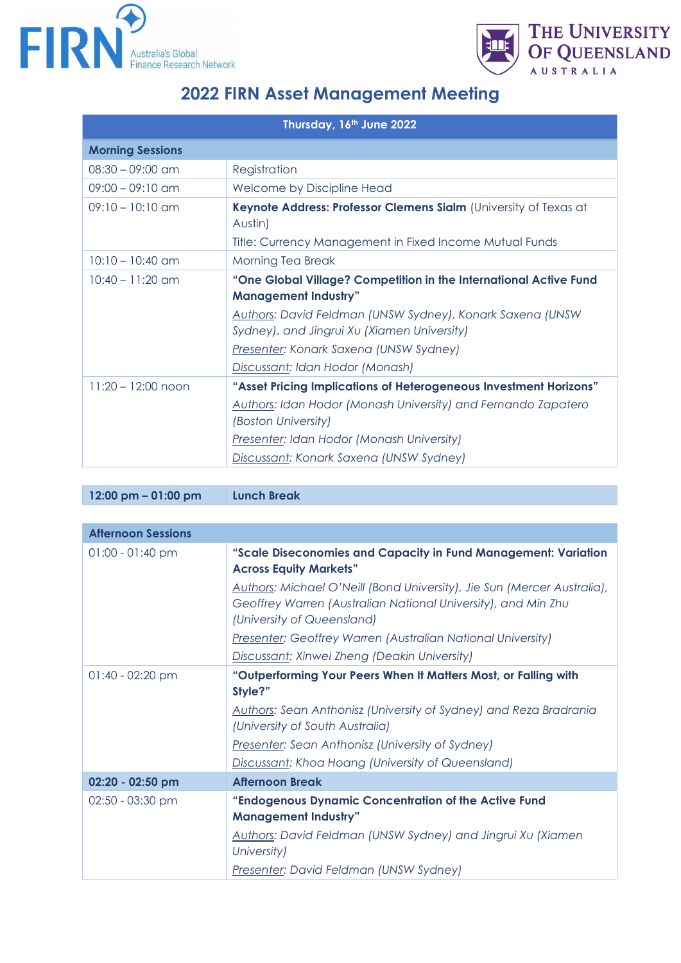



## **2022 FIRN Asset Management Meeting**

| Thursday, 16th June 2022 |                                                                                                          |  |
|--------------------------|----------------------------------------------------------------------------------------------------------|--|
| <b>Morning Sessions</b>  |                                                                                                          |  |
| $08:30 - 09:00$ am       | Registration                                                                                             |  |
| $09:00 - 09:10$ am       | Welcome by Discipline Head                                                                               |  |
| $09:10 - 10:10$ am       | Keynote Address: Professor Clemens Sialm (University of Texas at<br>Austin)                              |  |
|                          | Title: Currency Management in Fixed Income Mutual Funds                                                  |  |
| $10:10 - 10:40$ am       | Morning Tea Break                                                                                        |  |
| $10:40 - 11:20$ am       | "One Global Village? Competition in the International Active Fund<br><b>Management Industry"</b>         |  |
|                          | Authors: David Feldman (UNSW Sydney), Konark Saxena (UNSW<br>Sydney), and Jingrui Xu (Xiamen University) |  |
|                          | Presenter: Konark Saxena (UNSW Sydney)                                                                   |  |
|                          | Discussant: Idan Hodor (Monash)                                                                          |  |
| $11:20 - 12:00$ noon     | "Asset Pricing Implications of Heterogeneous Investment Horizons"                                        |  |
|                          | Authors: Idan Hodor (Monash University) and Fernando Zapatero<br>(Boston University)                     |  |
|                          | Presenter: Idan Hodor (Monash University)                                                                |  |
|                          | Discussant: Konark Saxena (UNSW Sydney)                                                                  |  |

**12:00 pm – 01:00 pm Lunch Break**

| <b>Afternoon Sessions</b> |                                                                                                                                                                        |
|---------------------------|------------------------------------------------------------------------------------------------------------------------------------------------------------------------|
| $01:00 - 01:40$ pm        | "Scale Diseconomies and Capacity in Fund Management: Variation<br><b>Across Equity Markets"</b>                                                                        |
|                           | Authors: Michael O'Neill (Bond University), Jie Sun (Mercer Australia),<br>Geoffrey Warren (Australian National University), and Min Zhu<br>(University of Queensland) |
|                           | <b>Presenter: Geoffrey Warren (Australian National University)</b>                                                                                                     |
|                           | Discussant: Xinwei Zheng (Deakin University)                                                                                                                           |
| $01:40 - 02:20$ pm        | "Outperforming Your Peers When It Matters Most, or Falling with<br>Style?"                                                                                             |
|                           | <b>Authors: Sean Anthonisz (University of Sydney) and Reza Bradrania</b><br>(University of South Australia)                                                            |
|                           | Presenter: Sean Anthonisz (University of Sydney)                                                                                                                       |
|                           | Discussant: Khoa Hoang (University of Queensland)                                                                                                                      |
| 02:20 - 02:50 pm          | <b>Afternoon Break</b>                                                                                                                                                 |
| $02:50 - 03:30$ pm        | "Endogenous Dynamic Concentration of the Active Fund                                                                                                                   |
|                           | <b>Management Industry"</b>                                                                                                                                            |
|                           | <b>Authors: David Feldman (UNSW Sydney) and Jingrui Xu (Xiamen</b><br>University)                                                                                      |
|                           | Presenter: David Feldman (UNSW Sydney)                                                                                                                                 |